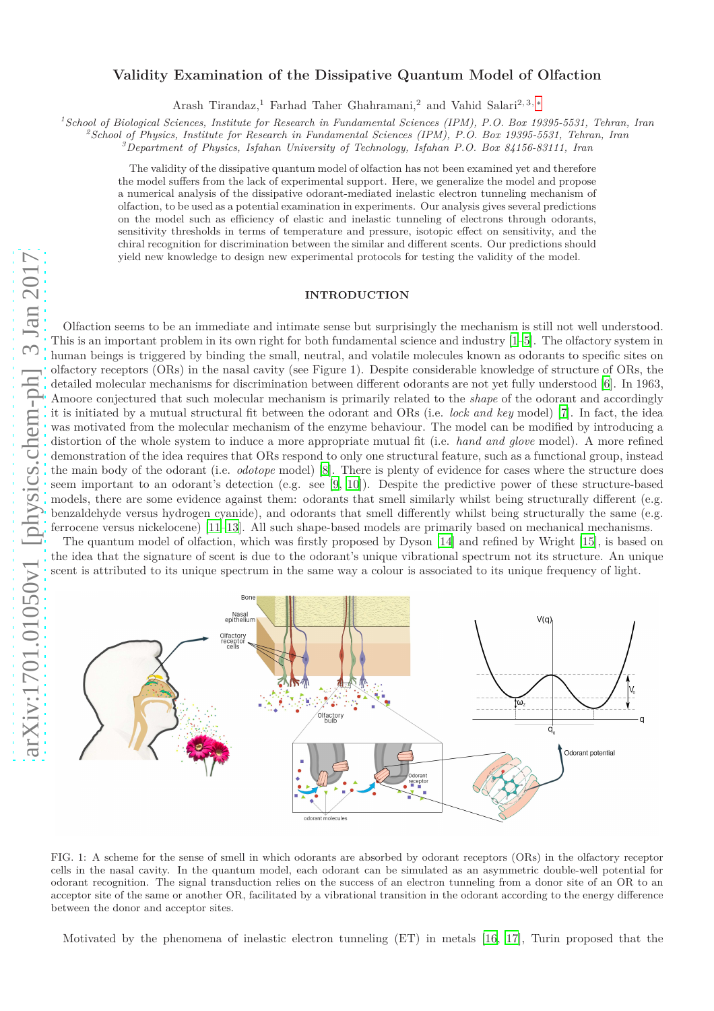# **Validity Examination of the Dissipative Quantum Model of Olfaction**

Arash Tirandaz,<sup>1</sup> Farhad Taher Ghahramani,<sup>2</sup> and Vahid Salari<sup>2, 3, [∗](#page-7-0)</sup>

*<sup>1</sup>School of Biological Sciences, Institute for Research in Fundamental Sciences (IPM), P.O. Box 19395-5531, Tehran, Iran*

*<sup>2</sup>School of Physics, Institute for Research in Fundamental Sciences (IPM), P.O. Box 19395-5531, Tehran, Iran*

*<sup>3</sup>Department of Physics, Isfahan University of Technology, Isfahan P.O. Box 84156-83111, Iran*

The validity of the dissipative quantum model of olfaction has not been examined yet and therefore the model suffers from the lack of experimental support. Here, we generalize the model and propose a numerical analysis of the dissipative odorant-mediated inelastic electron tunneling mechanism of olfaction, to be used as a potential examination in experiments. Our analysis gives several predictions on the model such as efficiency of elastic and inelastic tunneling of electrons through odorants, sensitivity thresholds in terms of temperature and pressure, isotopic effect on sensitivity, and the chiral recognition for discrimination between the similar and different scents. Our predictions should yield new knowledge to design new experimental protocols for testing the validity of the model.

# **INTRODUCTION**

arXiv:1701.01050v1 [physics.chem-ph] 3 Jan 2017 [arXiv:1701.01050v1 \[physics.chem-ph\] 3 Jan 2017](http://arxiv.org/abs/1701.01050v1)



the idea that the signature of scent is due to the odorant's unique vibrational spectrum not its structure. An unique scent is attributed to its unique spectrum in the same way a colour is associated to its unique frequency of light.



FIG. 1: A scheme for the sense of smell in which odorants are absorbed by odorant receptors (ORs) in the olfactory receptor cells in the nasal cavity. In the quantum model, each odorant can be simulated as an asymmetric double-well potential for odorant recognition. The signal transduction relies on the success of an electron tunneling from a donor site of an OR to an acceptor site of the same or another OR, facilitated by a vibrational transition in the odorant according to the energy difference between the donor and acceptor sites.

Motivated by the phenomena of inelastic electron tunneling (ET) in metals [\[16](#page-8-10), [17\]](#page-8-11), Turin proposed that the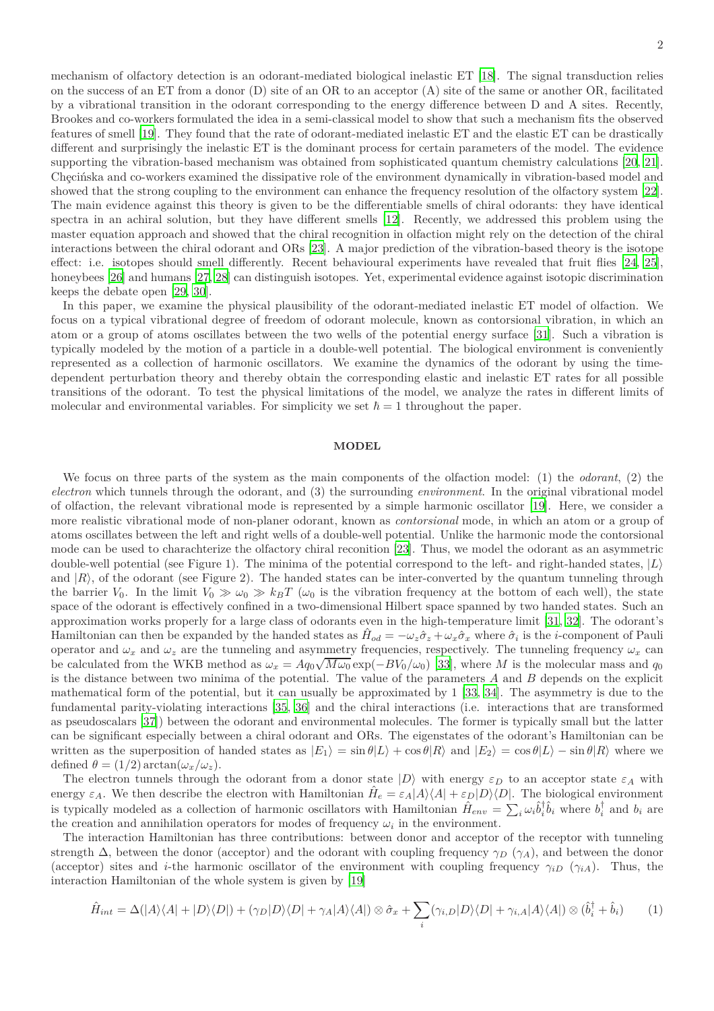2

mechanism of olfactory detection is an odorant-mediated biological inelastic ET [\[18](#page-8-12)]. The signal transduction relies on the success of an ET from a donor (D) site of an OR to an acceptor (A) site of the same or another OR, facilitated by a vibrational transition in the odorant corresponding to the energy difference between D and A sites. Recently, Brookes and co-workers formulated the idea in a semi-classical model to show that such a mechanism fits the observed features of smell [\[19](#page-8-13)]. They found that the rate of odorant-mediated inelastic ET and the elastic ET can be drastically different and surprisingly the inelastic ET is the dominant process for certain parameters of the model. The evidence supporting the vibration-based mechanism was obtained from sophisticated quantum chemistry calculations [\[20](#page-8-14), [21](#page-8-15)]. Checinska and co-workers examined the dissipative role of the environment dynamically in vibration-based model and showed that the strong coupling to the environment can enhance the frequency resolution of the olfactory system [\[22](#page-8-16)]. The main evidence against this theory is given to be the differentiable smells of chiral odorants: they have identical spectra in an achiral solution, but they have different smells [\[12\]](#page-8-17). Recently, we addressed this problem using the master equation approach and showed that the chiral recognition in olfaction might rely on the detection of the chiral interactions between the chiral odorant and ORs [\[23\]](#page-8-18). A major prediction of the vibration-based theory is the isotope effect: i.e. isotopes should smell differently. Recent behavioural experiments have revealed that fruit flies [\[24,](#page-8-19) [25](#page-8-20)], honeybees [\[26](#page-8-21)] and humans [\[27](#page-8-22), [28\]](#page-8-23) can distinguish isotopes. Yet, experimental evidence against isotopic discrimination keeps the debate open [\[29](#page-8-24), [30](#page-8-25)].

In this paper, we examine the physical plausibility of the odorant-mediated inelastic ET model of olfaction. We focus on a typical vibrational degree of freedom of odorant molecule, known as contorsional vibration, in which an atom or a group of atoms oscillates between the two wells of the potential energy surface [\[31\]](#page-8-26). Such a vibration is typically modeled by the motion of a particle in a double-well potential. The biological environment is conveniently represented as a collection of harmonic oscillators. We examine the dynamics of the odorant by using the timedependent perturbation theory and thereby obtain the corresponding elastic and inelastic ET rates for all possible transitions of the odorant. To test the physical limitations of the model, we analyze the rates in different limits of molecular and environmental variables. For simplicity we set  $\hbar = 1$  throughout the paper.

## **MODEL**

We focus on three parts of the system as the main components of the olfaction model: (1) the *odorant*, (2) the *electron* which tunnels through the odorant, and (3) the surrounding *environment*. In the original vibrational model of olfaction, the relevant vibrational mode is represented by a simple harmonic oscillator [\[19\]](#page-8-13). Here, we consider a more realistic vibrational mode of non-planer odorant, known as *contorsional* mode, in which an atom or a group of atoms oscillates between the left and right wells of a double-well potential. Unlike the harmonic mode the contorsional mode can be used to charachterize the olfactory chiral reconition [\[23\]](#page-8-18). Thus, we model the odorant as an asymmetric double-well potential (see Figure 1). The minima of the potential correspond to the left- and right-handed states, |*L*i and  $|R\rangle$ , of the odorant (see Figure 2). The handed states can be inter-converted by the quantum tunneling through the barrier  $V_0$ . In the limit  $V_0 \gg \omega_0 \gg k_B T$  ( $\omega_0$  is the vibration frequency at the bottom of each well), the state space of the odorant is effectively confined in a two-dimensional Hilbert space spanned by two handed states. Such an approximation works properly for a large class of odorants even in the high-temperature limit [\[31](#page-8-26), [32](#page-8-27)]. The odorant's Hamiltonian can then be expanded by the handed states as  $\hat{H}_{od} = -\omega_z \hat{\sigma}_z + \omega_x \hat{\sigma}_x$  where  $\hat{\sigma}_i$  is the *i*-component of Pauli operator and  $\omega_x$  and  $\omega_z$  are the tunneling and asymmetry frequencies, respectively. The tunneling frequency  $\omega_x$  can be calculated from the WKB method as  $\omega_x = A q_0 \sqrt{M \omega_0} \exp(-B V_0 / \omega_0)$  [\[33\]](#page-8-28), where *M* is the molecular mass and  $q_0$ is the distance between two minima of the potential. The value of the parameters *A* and *B* depends on the explicit mathematical form of the potential, but it can usually be approximated by 1 [\[33,](#page-8-28) [34\]](#page-8-29). The asymmetry is due to the fundamental parity-violating interactions [\[35](#page-8-30), [36](#page-8-31)] and the chiral interactions (i.e. interactions that are transformed as pseudoscalars [\[37\]](#page-8-32)) between the odorant and environmental molecules. The former is typically small but the latter can be significant especially between a chiral odorant and ORs. The eigenstates of the odorant's Hamiltonian can be written as the superposition of handed states as  $|E_1\rangle = \sin \theta |L\rangle + \cos \theta |R\rangle$  and  $|E_2\rangle = \cos \theta |L\rangle - \sin \theta |R\rangle$  where we defined  $\theta = (1/2) \arctan(\omega_x/\omega_z)$ .

The electron tunnels through the odorant from a donor state  $|D\rangle$  with energy  $\varepsilon_D$  to an acceptor state  $\varepsilon_A$  with energy  $\varepsilon_A$ . We then describe the electron with Hamiltonian  $\hat{H}_e = \varepsilon_A |A\rangle\langle A| + \varepsilon_D |D\rangle\langle D|$ . The biological environment is typically modeled as a collection of harmonic oscillators with Hamiltonian  $\hat{H}_{env} = \sum_i \omega_i \hat{b}_i^{\dagger} \hat{b}_i$  where  $b_i^{\dagger}$  and  $b_i$  are the creation and annihilation operators for modes of frequency  $\omega_i$  in the environment.

The interaction Hamiltonian has three contributions: between donor and acceptor of the receptor with tunneling strength  $\Delta$ , between the donor (acceptor) and the odorant with coupling frequency  $\gamma_D$  ( $\gamma_A$ ), and between the donor (acceptor) sites and *i*-the harmonic oscillator of the environment with coupling frequency  $\gamma_{iD}$  ( $\gamma_{iA}$ ). Thus, the interaction Hamiltonian of the whole system is given by [\[19](#page-8-13)]

$$
\hat{H}_{int} = \Delta(|A\rangle\langle A| + |D\rangle\langle D|) + (\gamma_D|D\rangle\langle D| + \gamma_A|A\rangle\langle A|) \otimes \hat{\sigma}_x + \sum_i (\gamma_{i,D}|D\rangle\langle D| + \gamma_{i,A}|A\rangle\langle A|) \otimes (\hat{b}_i^{\dagger} + \hat{b}_i)
$$
(1)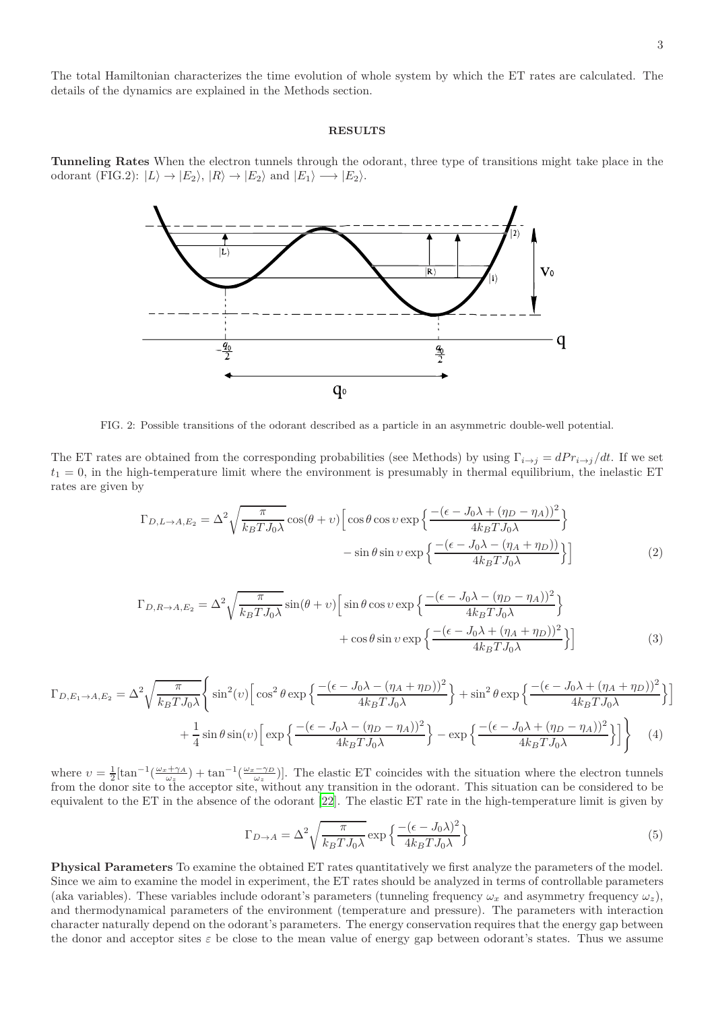The total Hamiltonian characterizes the time evolution of whole system by which the ET rates are calculated. The details of the dynamics are explained in the Methods section.

#### **RESULTS**

**Tunneling Rates** When the electron tunnels through the odorant, three type of transitions might take place in the odorant (FIG.2):  $|L\rangle \rightarrow |E_2\rangle$ ,  $|R\rangle \rightarrow |E_2\rangle$  and  $|E_1\rangle \rightarrow |E_2\rangle$ .



FIG. 2: Possible transitions of the odorant described as a particle in an asymmetric double-well potential.

The ET rates are obtained from the corresponding probabilities (see Methods) by using  $\Gamma_{i\to j} = dP r_{i\to j}/dt$ . If we set  $t_1 = 0$ , in the high-temperature limit where the environment is presumably in thermal equilibrium, the inelastic ET rates are given by

$$
\Gamma_{D,L \to A, E_2} = \Delta^2 \sqrt{\frac{\pi}{k_B T J_0 \lambda}} \cos(\theta + v) \left[ \cos \theta \cos v \exp \left\{ \frac{-(\epsilon - J_0 \lambda + (\eta_D - \eta_A))^2}{4 k_B T J_0 \lambda} \right\} \right] - \sin \theta \sin v \exp \left\{ \frac{-(\epsilon - J_0 \lambda - (\eta_A + \eta_D))}{4 k_B T J_0 \lambda} \right\} \right]
$$
(2)

$$
\Gamma_{D,R\to A,E_2} = \Delta^2 \sqrt{\frac{\pi}{k_B T J_0 \lambda}} \sin(\theta + v) \left[ \sin \theta \cos v \exp \left\{ \frac{-(\epsilon - J_0 \lambda - (\eta_D - \eta_A))^2}{4k_B T J_0 \lambda} \right\} + \cos \theta \sin v \exp \left\{ \frac{-(\epsilon - J_0 \lambda + (\eta_A + \eta_D))^2}{4k_B T J_0 \lambda} \right\} \right]
$$
(3)

$$
\Gamma_{D,E_1 \to A,E_2} = \Delta^2 \sqrt{\frac{\pi}{k_B T J_0 \lambda}} \left\{ \sin^2(v) \left[ \cos^2 \theta \exp \left\{ \frac{- (\epsilon - J_0 \lambda - (\eta_A + \eta_D))^2}{4 k_B T J_0 \lambda} \right\} + \sin^2 \theta \exp \left\{ \frac{-(\epsilon - J_0 \lambda + (\eta_A + \eta_D))^2}{4 k_B T J_0 \lambda} \right\} \right] \right\}
$$
  
+ 
$$
\frac{1}{4} \sin \theta \sin(v) \left[ \exp \left\{ \frac{-(\epsilon - J_0 \lambda - (\eta_D - \eta_A))^2}{4 k_B T J_0 \lambda} \right\} - \exp \left\{ \frac{-(\epsilon - J_0 \lambda + (\eta_D - \eta_A))^2}{4 k_B T J_0 \lambda} \right\} \right] \right\} \tag{4}
$$

where  $v = \frac{1}{2} [\tan^{-1}(\frac{\omega_x + \gamma_A}{\omega_z}) + \tan^{-1}(\frac{\omega_x - \gamma_D}{\omega_z})]$ . The elastic ET coincides with the situation where the electron tunnels from the donor site to the acceptor site, without any transition in the odorant. This situation can be considered to be equivalent to the ET in the absence of the odorant [\[22](#page-8-16)]. The elastic ET rate in the high-temperature limit is given by

<span id="page-2-1"></span><span id="page-2-0"></span>
$$
\Gamma_{D \to A} = \Delta^2 \sqrt{\frac{\pi}{k_B T J_0 \lambda}} \exp \left\{ \frac{-(\epsilon - J_0 \lambda)^2}{4 k_B T J_0 \lambda} \right\} \tag{5}
$$

**Physical Parameters** To examine the obtained ET rates quantitatively we first analyze the parameters of the model. Since we aim to examine the model in experiment, the ET rates should be analyzed in terms of controllable parameters (aka variables). These variables include odorant's parameters (tunneling frequency  $\omega_x$  and asymmetry frequency  $\omega_z$ ), and thermodynamical parameters of the environment (temperature and pressure). The parameters with interaction character naturally depend on the odorant's parameters. The energy conservation requires that the energy gap between the donor and acceptor sites  $\varepsilon$  be close to the mean value of energy gap between odorant's states. Thus we assume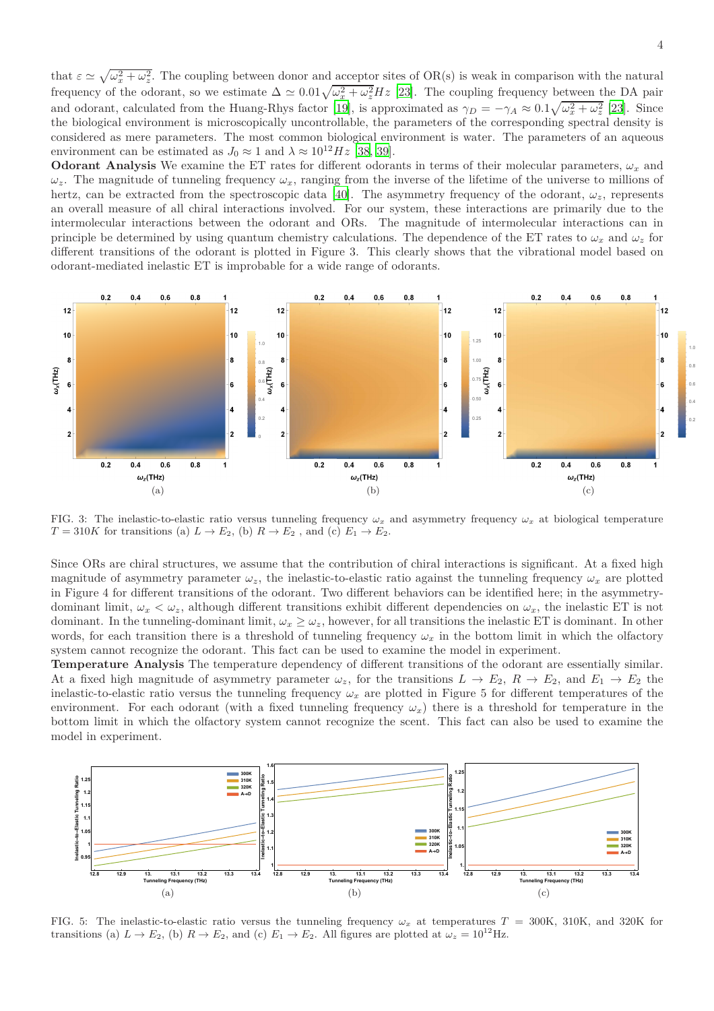that  $\varepsilon \simeq \sqrt{\omega_x^2 + \omega_z^2}$ . The coupling between donor and acceptor sites of OR(s) is weak in comparison with the natural frequency of the odorant, so we estimate  $\Delta \simeq 0.01\sqrt{\omega_x^2 + \omega_z^2}Hz$  [\[23](#page-8-18)]. The coupling frequency between the DA pair and odorant, calculated from the Huang-Rhys factor [\[19\]](#page-8-13), is approximated as  $\gamma_D = -\gamma_A \approx 0.1 \sqrt{\omega_x^2 + \omega_z^2}$  [\[23](#page-8-18)]. Since the biological environment is microscopically uncontrollable, the parameters of the corresponding spectral density is considered as mere parameters. The most common biological environment is water. The parameters of an aqueous environment can be estimated as  $J_0 \approx 1$  and  $\lambda \approx 10^{12} Hz$  [\[38](#page-8-33), [39](#page-8-34)].

**Odorant Analysis** We examine the ET rates for different odorants in terms of their molecular parameters,  $\omega_x$  and  $\omega_z$ . The magnitude of tunneling frequency  $\omega_x$ , ranging from the inverse of the lifetime of the universe to millions of hertz, can be extracted from the spectroscopic data [\[40](#page-8-35)]. The asymmetry frequency of the odorant,  $\omega_z$ , represents an overall measure of all chiral interactions involved. For our system, these interactions are primarily due to the intermolecular interactions between the odorant and ORs. The magnitude of intermolecular interactions can in principle be determined by using quantum chemistry calculations. The dependence of the ET rates to  $\omega_x$  and  $\omega_z$  for different transitions of the odorant is plotted in Figure 3. This clearly shows that the vibrational model based on odorant-mediated inelastic ET is improbable for a wide range of odorants.



FIG. 3: The inelastic-to-elastic ratio versus tunneling frequency  $\omega_x$  and asymmetry frequency  $\omega_x$  at biological temperature  $T = 310K$  for transitions (a)  $L \rightarrow E_2$ , (b)  $R \rightarrow E_2$ , and (c)  $E_1 \rightarrow E_2$ .

Since ORs are chiral structures, we assume that the contribution of chiral interactions is significant. At a fixed high magnitude of asymmetry parameter  $\omega_z$ , the inelastic-to-elastic ratio against the tunneling frequency  $\omega_x$  are plotted in Figure 4 for different transitions of the odorant. Two different behaviors can be identified here; in the asymmetrydominant limit,  $\omega_x < \omega_z$ , although different transitions exhibit different dependencies on  $\omega_x$ , the inelastic ET is not dominant. In the tunneling-dominant limit,  $\omega_x \geq \omega_z$ , however, for all transitions the inelastic ET is dominant. In other words, for each transition there is a threshold of tunneling frequency  $\omega_x$  in the bottom limit in which the olfactory system cannot recognize the odorant. This fact can be used to examine the model in experiment.

**Temperature Analysis** The temperature dependency of different transitions of the odorant are essentially similar. At a fixed high magnitude of asymmetry parameter  $\omega_z$ , for the transitions  $L \to E_2$ ,  $R \to E_2$ , and  $E_1 \to E_2$  the inelastic-to-elastic ratio versus the tunneling frequency  $\omega_x$  are plotted in Figure 5 for different temperatures of the environment. For each odorant (with a fixed tunneling frequency  $\omega_x$ ) there is a threshold for temperature in the bottom limit in which the olfactory system cannot recognize the scent. This fact can also be used to examine the model in experiment.



FIG. 5: The inelastic-to-elastic ratio versus the tunneling frequency  $\omega_x$  at temperatures  $T = 300$ K, 310K, and 320K for transitions (a)  $L \to E_2$ , (b)  $R \to E_2$ , and (c)  $E_1 \to E_2$ . All figures are plotted at  $\omega_z = 10^{12}$  Hz.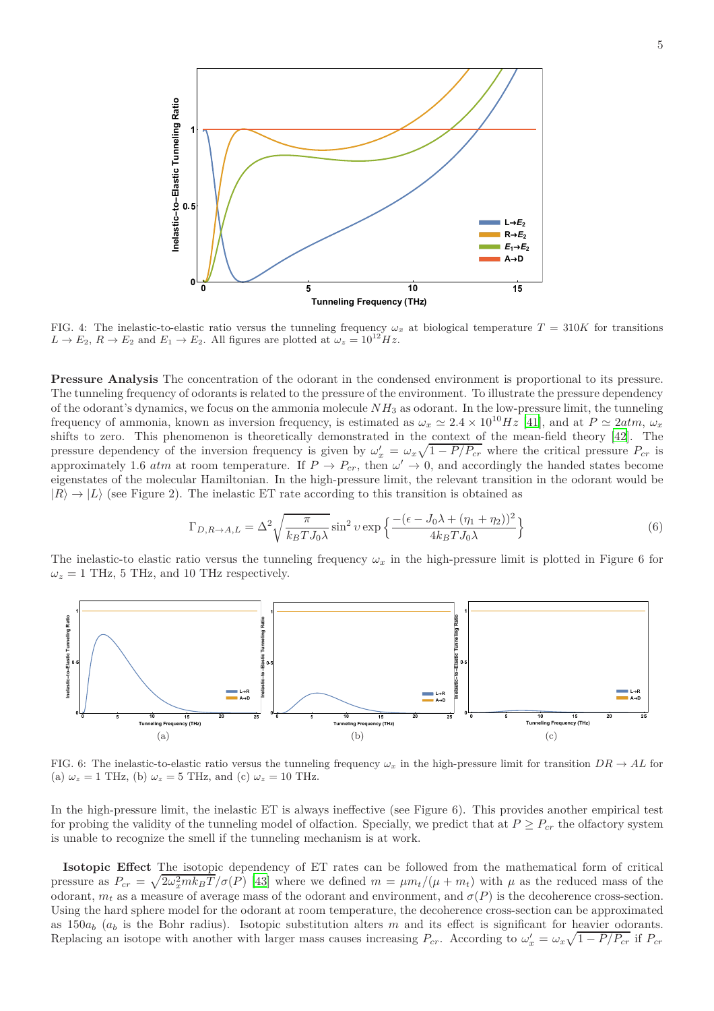

FIG. 4: The inelastic-to-elastic ratio versus the tunneling frequency  $\omega_x$  at biological temperature  $T = 310K$  for transitions  $L \rightarrow E_2$ ,  $R \rightarrow E_2$  and  $E_1 \rightarrow E_2$ . All figures are plotted at  $\omega_z = 10^{12} Hz$ .

**Pressure Analysis** The concentration of the odorant in the condensed environment is proportional to its pressure. The tunneling frequency of odorants is related to the pressure of the environment. To illustrate the pressure dependency of the odorant's dynamics, we focus on the ammonia molecule *NH*<sup>3</sup> as odorant. In the low-pressure limit, the tunneling frequency of ammonia, known as inversion frequency, is estimated as  $\omega_x \simeq 2.4 \times 10^{10} Hz$  [\[41\]](#page-8-36), and at  $P \simeq 2atm$ ,  $\omega_x$ shifts to zero. This phenomenon is theoretically demonstrated in the context of the mean-field theory [\[42](#page-8-37)]. The pressure dependency of the inversion frequency is given by  $\omega'_x = \omega_x \sqrt{1 - P/P_{cr}}$  where the critical pressure  $P_{cr}$  is approximately 1.6 *atm* at room temperature. If  $P \to P_{cr}$ , then  $\omega' \to 0$ , and accordingly the handed states become eigenstates of the molecular Hamiltonian. In the high-pressure limit, the relevant transition in the odorant would be  $|R\rangle \rightarrow |L\rangle$  (see Figure 2). The inelastic ET rate according to this transition is obtained as

$$
\Gamma_{D,R\to A,L} = \Delta^2 \sqrt{\frac{\pi}{k_B T J_0 \lambda}} \sin^2 v \exp\left\{ \frac{- (\epsilon - J_0 \lambda + (\eta_1 + \eta_2))^2}{4k_B T J_0 \lambda} \right\} \tag{6}
$$

The inelastic-to elastic ratio versus the tunneling frequency  $\omega_x$  in the high-pressure limit is plotted in Figure 6 for  $\omega_z = 1$  THz, 5 THz, and 10 THz respectively.



FIG. 6: The inelastic-to-elastic ratio versus the tunneling frequency  $\omega_x$  in the high-pressure limit for transition  $DR \to AL$  for (a)  $\omega_z = 1$  THz, (b)  $\omega_z = 5$  THz, and (c)  $\omega_z = 10$  THz.

In the high-pressure limit, the inelastic ET is always ineffective (see Figure 6). This provides another empirical test for probing the validity of the tunneling model of olfaction. Specially, we predict that at  $P \geq P_{cr}$  the olfactory system is unable to recognize the smell if the tunneling mechanism is at work.

**Isotopic Effect** The isotopic dependency of ET rates can be followed from the mathematical form of critical pressure as  $P_{cr} = \sqrt{2\omega_x^2 m k_B T}/\sigma(P)$  [\[43\]](#page-8-38) where we defined  $m = \mu m_t/(\mu + m_t)$  with  $\mu$  as the reduced mass of the odorant,  $m_t$  as a measure of average mass of the odorant and environment, and  $\sigma(P)$  is the decoherence cross-section. Using the hard sphere model for the odorant at room temperature, the decoherence cross-section can be approximated as  $150a_b$  ( $a_b$  is the Bohr radius). Isotopic substitution alters *m* and its effect is significant for heavier odorants. Replacing an isotope with another with larger mass causes increasing  $P_{cr}$ . According to  $\omega'_x = \omega_x \sqrt{1 - P/P_{cr}}$  if  $P_{cr}$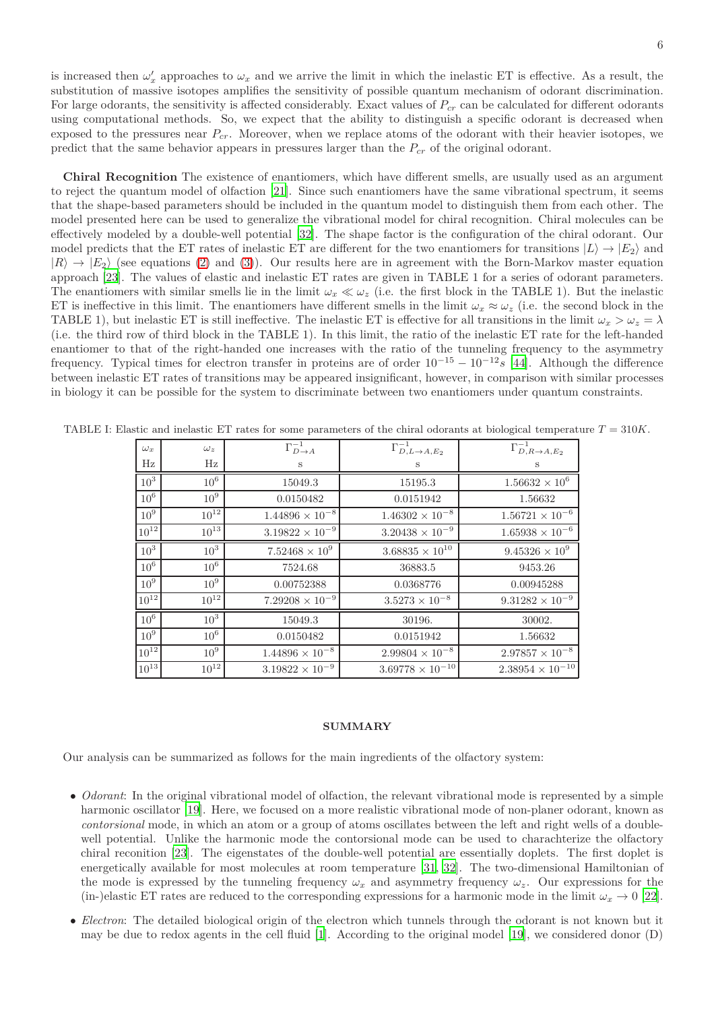is increased then  $\omega'_x$  approaches to  $\omega_x$  and we arrive the limit in which the inelastic ET is effective. As a result, the substitution of massive isotopes amplifies the sensitivity of possible quantum mechanism of odorant discrimination. For large odorants, the sensitivity is affected considerably. Exact values of *Pcr* can be calculated for different odorants using computational methods. So, we expect that the ability to distinguish a specific odorant is decreased when exposed to the pressures near *Pcr*. Moreover, when we replace atoms of the odorant with their heavier isotopes, we predict that the same behavior appears in pressures larger than the *Pcr* of the original odorant.

**Chiral Recognition** The existence of enantiomers, which have different smells, are usually used as an argument to reject the quantum model of olfaction [\[21\]](#page-8-15). Since such enantiomers have the same vibrational spectrum, it seems that the shape-based parameters should be included in the quantum model to distinguish them from each other. The model presented here can be used to generalize the vibrational model for chiral recognition. Chiral molecules can be effectively modeled by a double-well potential [\[32\]](#page-8-27). The shape factor is the configuration of the chiral odorant. Our model predicts that the ET rates of inelastic ET are different for the two enantiomers for transitions  $|L\rangle \rightarrow |E_2\rangle$  and  $|R\rangle \rightarrow |E_2\rangle$  (see equations [\(2\)](#page-2-0) and [\(3\)](#page-2-1)). Our results here are in agreement with the Born-Markov master equation approach [\[23](#page-8-18)]. The values of elastic and inelastic ET rates are given in TABLE 1 for a series of odorant parameters. The enantiomers with similar smells lie in the limit  $\omega_x \ll \omega_z$  (i.e. the first block in the TABLE 1). But the inelastic ET is ineffective in this limit. The enantiomers have different smells in the limit  $\omega_x \approx \omega_z$  (i.e. the second block in the TABLE 1), but inelastic ET is still ineffective. The inelastic ET is effective for all transitions in the limit  $\omega_x > \omega_z = \lambda$ (i.e. the third row of third block in the TABLE 1). In this limit, the ratio of the inelastic ET rate for the left-handed enantiomer to that of the right-handed one increases with the ratio of the tunneling frequency to the asymmetry frequency. Typical times for electron transfer in proteins are of order  $10^{-15} - 10^{-12}$  *s* [\[44\]](#page-8-39). Although the difference between inelastic ET rates of transitions may be appeared insignificant, however, in comparison with similar processes in biology it can be possible for the system to discriminate between two enantiomers under quantum constraints.

| $\omega_x$      | $\omega_z$      | $\Gamma_{D\to A}^{-1}$   | $\Gamma_{D,L\to A,E_2}^{-1}$ | $\overline{\Gamma}_{D,R\to A,E_2}^{-1}$ |
|-----------------|-----------------|--------------------------|------------------------------|-----------------------------------------|
| $_{\rm Hz}$     | $_{\rm Hz}$     | $\mathbf S$              | S                            | S                                       |
| $10^3$          | $10^6$          | 15049.3                  | 15195.3                      | $1.56632 \times 10^{6}$                 |
| $10^6$          | 10 <sup>9</sup> | 0.0150482                | 0.0151942                    | 1.56632                                 |
| 10 <sup>9</sup> | $10^{12}$       | $1.44896 \times 10^{-8}$ | $1.46302 \times 10^{-8}$     | $1.56721 \times 10^{-6}$                |
| $10^{12}$       | $10^{13}$       | $3.19822 \times 10^{-9}$ | $3.20438 \times 10^{-9}$     | $1.65938 \times 10^{-6}$                |
| $10^3$          | 10 <sup>3</sup> | $7.52468\times{10}^{9}$  | $3.68835\times10^{10}$       | $9.45326 \times 10^9$                   |
| $10^6$          | $10^6$          | 7524.68                  | 36883.5                      | 9453.26                                 |
| 10 <sup>9</sup> | 10 <sup>9</sup> | 0.00752388               | 0.0368776                    | 0.00945288                              |
| $10^{12}$       | $10^{12}$       | $7.29208 \times 10^{-9}$ | $3.5273\times10^{-8}$        | $9.31282 \times 10^{-9}$                |
| $10^6$          | 10 <sup>3</sup> | 15049.3                  | 30196.                       | 30002.                                  |
| 10 <sup>9</sup> | $10^6$          | 0.0150482                | 0.0151942                    | 1.56632                                 |
| $10^{12}$       | 10 <sup>9</sup> | $1.44896\times10^{-8}$   | $2.99804 \times 10^{-8}$     | $2.97857\times10^{-8}$                  |
| $10^{13}$       | $10^{12}$       | $3.19822 \times 10^{-9}$ | $3.69778 \times 10^{-10}$    | $2.38954\times10^{-10}$                 |

TABLE I: Elastic and inelastic ET rates for some parameters of the chiral odorants at biological temperature *T* = 310*K*.

#### **SUMMARY**

Our analysis can be summarized as follows for the main ingredients of the olfactory system:

- *Odorant*: In the original vibrational model of olfaction, the relevant vibrational mode is represented by a simple harmonic oscillator [\[19](#page-8-13)]. Here, we focused on a more realistic vibrational mode of non-planer odorant, known as *contorsional* mode, in which an atom or a group of atoms oscillates between the left and right wells of a doublewell potential. Unlike the harmonic mode the contorsional mode can be used to charachterize the olfactory chiral reconition [\[23\]](#page-8-18). The eigenstates of the double-well potential are essentially doplets. The first doplet is energetically available for most molecules at room temperature [\[31](#page-8-26), [32\]](#page-8-27). The two-dimensional Hamiltonian of the mode is expressed by the tunneling frequency  $\omega_x$  and asymmetry frequency  $\omega_z$ . Our expressions for the (in-)elastic ET rates are reduced to the corresponding expressions for a harmonic mode in the limit  $\omega_x \to 0$  [\[22](#page-8-16)].
- *Electron*: The detailed biological origin of the electron which tunnels through the odorant is not known but it may be due to redox agents in the cell fluid [\[1](#page-7-1)]. According to the original model [\[19](#page-8-13)], we considered donor (D)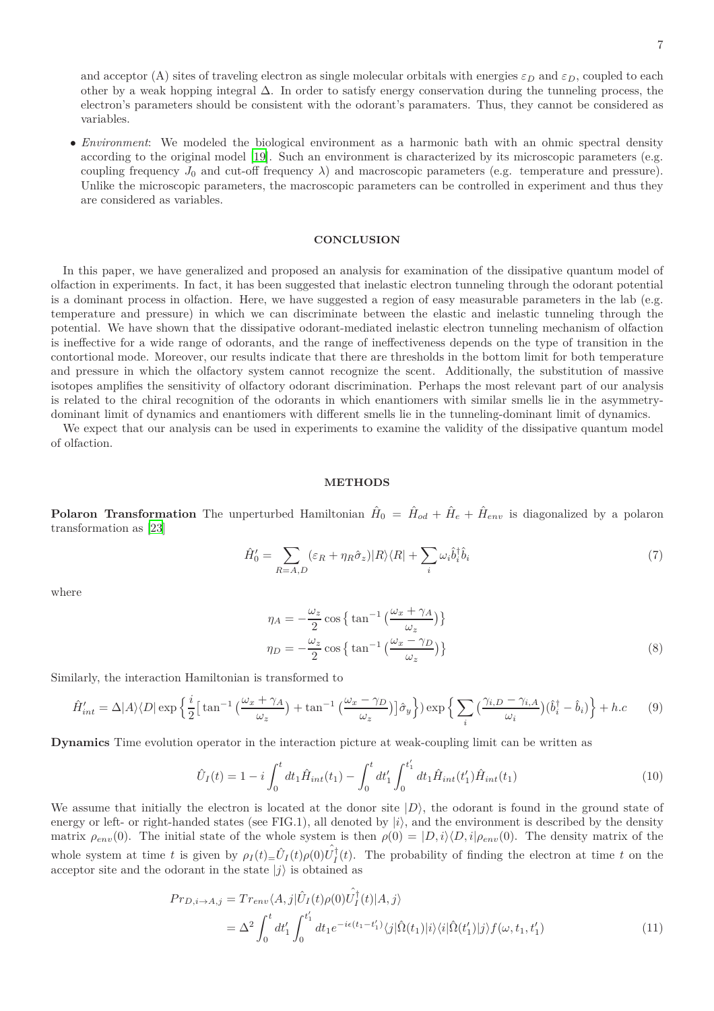and acceptor (A) sites of traveling electron as single molecular orbitals with energies  $\varepsilon_D$  and  $\varepsilon_D$ , coupled to each other by a weak hopping integral ∆. In order to satisfy energy conservation during the tunneling process, the electron's parameters should be consistent with the odorant's paramaters. Thus, they cannot be considered as variables.

• *Environment*: We modeled the biological environment as a harmonic bath with an ohmic spectral density according to the original model [\[19\]](#page-8-13). Such an environment is characterized by its microscopic parameters (e.g. coupling frequency  $J_0$  and cut-off frequency  $\lambda$ ) and macroscopic parameters (e.g. temperature and pressure). Unlike the microscopic parameters, the macroscopic parameters can be controlled in experiment and thus they are considered as variables.

# **CONCLUSION**

In this paper, we have generalized and proposed an analysis for examination of the dissipative quantum model of olfaction in experiments. In fact, it has been suggested that inelastic electron tunneling through the odorant potential is a dominant process in olfaction. Here, we have suggested a region of easy measurable parameters in the lab (e.g. temperature and pressure) in which we can discriminate between the elastic and inelastic tunneling through the potential. We have shown that the dissipative odorant-mediated inelastic electron tunneling mechanism of olfaction is ineffective for a wide range of odorants, and the range of ineffectiveness depends on the type of transition in the contortional mode. Moreover, our results indicate that there are thresholds in the bottom limit for both temperature and pressure in which the olfactory system cannot recognize the scent. Additionally, the substitution of massive isotopes amplifies the sensitivity of olfactory odorant discrimination. Perhaps the most relevant part of our analysis is related to the chiral recognition of the odorants in which enantiomers with similar smells lie in the asymmetrydominant limit of dynamics and enantiomers with different smells lie in the tunneling-dominant limit of dynamics.

We expect that our analysis can be used in experiments to examine the validity of the dissipative quantum model of olfaction.

# **METHODS**

**Polaron Transformation** The unperturbed Hamiltonian  $\hat{H}_0 = \hat{H}_{od} + \hat{H}_e + \hat{H}_{env}$  is diagonalized by a polaron transformation as [\[23](#page-8-18)]

$$
\hat{H}'_0 = \sum_{R=A,D} (\varepsilon_R + \eta_R \hat{\sigma}_z) |R\rangle\langle R| + \sum_i \omega_i \hat{b}_i^\dagger \hat{b}_i \tag{7}
$$

where

$$
\eta_A = -\frac{\omega_z}{2} \cos \left\{ \tan^{-1} \left( \frac{\omega_x + \gamma_A}{\omega_z} \right) \right\}
$$

$$
\eta_D = -\frac{\omega_z}{2} \cos \left\{ \tan^{-1} \left( \frac{\omega_x - \gamma_D}{\omega_z} \right) \right\}
$$
(8)

Similarly, the interaction Hamiltonian is transformed to

$$
\hat{H}'_{int} = \Delta |A\rangle\langle D| \exp\left\{ \frac{i}{2} \left[ \tan^{-1} \left( \frac{\omega_x + \gamma_A}{\omega_z} \right) + \tan^{-1} \left( \frac{\omega_x - \gamma_D}{\omega_z} \right) \right] \hat{\sigma}_y \right\} \right) \exp\left\{ \sum_i \left( \frac{\gamma_{i,D} - \gamma_{i,A}}{\omega_i} \right) (\hat{b}_i^{\dagger} - \hat{b}_i) \right\} + h.c \tag{9}
$$

**Dynamics** Time evolution operator in the interaction picture at weak-coupling limit can be written as

$$
\hat{U}_I(t) = 1 - i \int_0^t dt_1 \hat{H}_{int}(t_1) - \int_0^t dt'_1 \int_0^{t'_1} dt_1 \hat{H}_{int}(t'_1) \hat{H}_{int}(t_1)
$$
\n(10)

We assume that initially the electron is located at the donor site  $|D\rangle$ , the odorant is found in the ground state of energy or left- or right-handed states (see FIG.1), all denoted by  $|i\rangle$ , and the environment is described by the density matrix  $\rho_{env}(0)$ . The initial state of the whole system is then  $\rho(0) = |D, i\rangle \langle D, i| \rho_{env}(0)$ . The density matrix of the whole system at time *t* is given by  $\rho_I(t) = \hat{U}_I(t) \rho(0) \hat{U}_I^{\dagger}(t)$ . The probability of finding the electron at time *t* on the acceptor site and the odorant in the state  $|j\rangle$  is obtained as

$$
Pr_{D,i\to A,j} = Tr_{env} \langle A,j| \hat{U}_I(t)\rho(0)\hat{U}_I^{\dagger}(t)|A,j\rangle
$$
  
= 
$$
\Delta^2 \int_0^t dt'_1 \int_0^{t'_1} dt_1 e^{-i\epsilon(t_1 - t'_1)} \langle j| \hat{\Omega}(t_1)|i\rangle \langle i| \hat{\Omega}(t'_1)|j\rangle f(\omega, t_1, t'_1)
$$
 (11)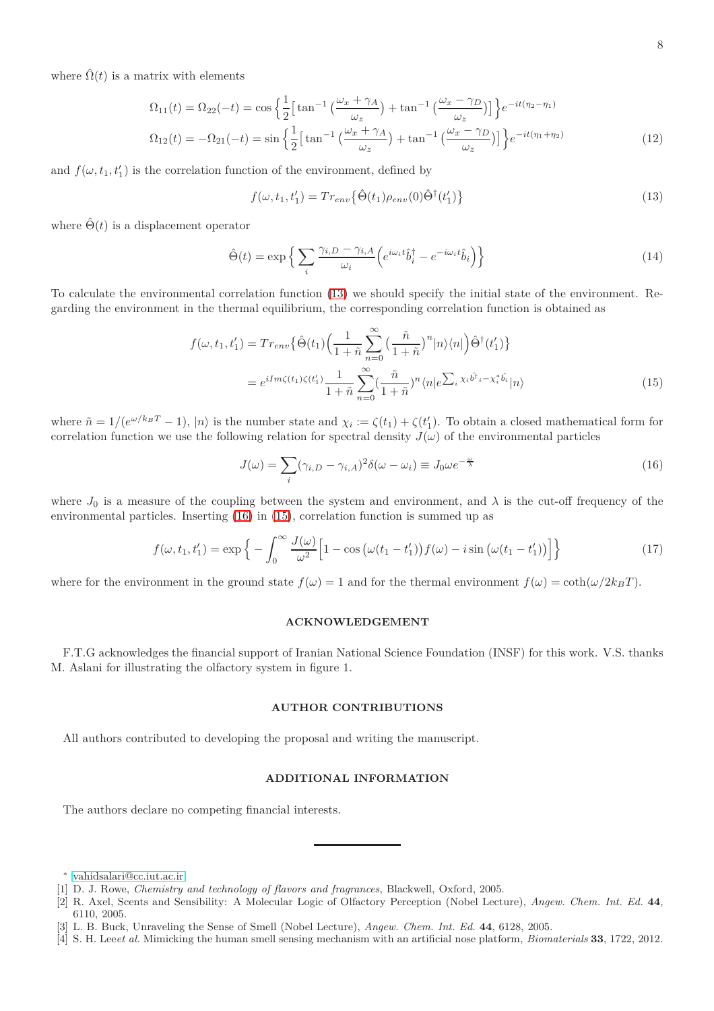where  $\hat{\Omega}(t)$  is a matrix with elements

$$
\Omega_{11}(t) = \Omega_{22}(-t) = \cos\left\{\frac{1}{2}\left[\tan^{-1}\left(\frac{\omega_x + \gamma_A}{\omega_z}\right) + \tan^{-1}\left(\frac{\omega_x - \gamma_D}{\omega_z}\right)\right]\right\}e^{-it(\eta_2 - \eta_1)}
$$
\n
$$
\Omega_{12}(t) = -\Omega_{21}(-t) = \sin\left\{\frac{1}{2}\left[\tan^{-1}\left(\frac{\omega_x + \gamma_A}{\omega_z}\right) + \tan^{-1}\left(\frac{\omega_x - \gamma_D}{\omega_z}\right)\right]\right\}e^{-it(\eta_1 + \eta_2)}\tag{12}
$$

and  $f(\omega, t_1, t'_1)$  is the correlation function of the environment, defined by

<span id="page-7-2"></span>
$$
f(\omega, t_1, t_1') = Tr_{env} \left\{ \hat{\Theta}(t_1) \rho_{env}(0) \hat{\Theta}^{\dagger}(t_1') \right\}
$$
\n(13)

where  $\hat{\Theta}(t)$  is a displacement operator

$$
\hat{\Theta}(t) = \exp\left\{ \sum_{i} \frac{\gamma_{i,D} - \gamma_{i,A}}{\omega_i} \left( e^{i\omega_i t} \hat{b}_i^\dagger - e^{-i\omega_i t} \hat{b}_i \right) \right\} \tag{14}
$$

To calculate the environmental correlation function [\(13\)](#page-7-2) we should specify the initial state of the environment. Regarding the environment in the thermal equilibrium, the corresponding correlation function is obtained as

$$
f(\omega, t_1, t'_1) = Tr_{env} \{ \hat{\Theta}(t_1) \Big( \frac{1}{1 + \tilde{n}} \sum_{n=0}^{\infty} \Big( \frac{\tilde{n}}{1 + \tilde{n}} \Big)^n |n\rangle\langle n| \Big) \hat{\Theta}^{\dagger}(t'_1) \}
$$
  

$$
= e^{iIm\zeta(t_1)\zeta(t'_1)} \frac{1}{1 + \tilde{n}} \sum_{n=0}^{\infty} \Big( \frac{\tilde{n}}{1 + \tilde{n}} \Big)^n \langle n| e^{\sum_i \chi_i \hat{b}^{\dagger} i - \chi_i^* \hat{b}_i} |n\rangle
$$
(15)

where  $\tilde{n} = 1/(e^{\omega/k_B T} - 1)$ ,  $|n\rangle$  is the number state and  $\chi_i := \zeta(t_1) + \zeta(t'_1)$ . To obtain a closed mathematical form for correlation function we use the following relation for spectral density  $J(\omega)$  of the environmental particles

<span id="page-7-4"></span><span id="page-7-3"></span>
$$
J(\omega) = \sum_{i} (\gamma_{i,D} - \gamma_{i,A})^2 \delta(\omega - \omega_i) \equiv J_0 \omega e^{-\frac{\omega}{\lambda}}
$$
(16)

where  $J_0$  is a measure of the coupling between the system and environment, and  $\lambda$  is the cut-off frequency of the environmental particles. Inserting [\(16\)](#page-7-3) in [\(15\)](#page-7-4), correlation function is summed up as

$$
f(\omega, t_1, t_1') = \exp\left\{-\int_0^\infty \frac{J(\omega)}{\omega^2} \Big[1 - \cos\big(\omega(t_1 - t_1')\big) f(\omega) - i \sin\big(\omega(t_1 - t_1')\big)\Big]\right\}
$$
(17)

where for the environment in the ground state  $f(\omega) = 1$  and for the thermal environment  $f(\omega) = \coth(\omega/2k_BT)$ .

#### **ACKNOWLEDGEMENT**

F.T.G acknowledges the financial support of Iranian National Science Foundation (INSF) for this work. V.S. thanks M. Aslani for illustrating the olfactory system in figure 1.

#### **AUTHOR CONTRIBUTIONS**

All authors contributed to developing the proposal and writing the manuscript.

## **ADDITIONAL INFORMATION**

The authors declare no competing financial interests.

<sup>∗</sup> [vahidsalari@cc.iut.ac.ir](mailto:vahidsalari@cc.iut.ac.ir)

<span id="page-7-1"></span><span id="page-7-0"></span><sup>[1]</sup> D. J. Rowe, *Chemistry and technology of flavors and fragrances*, Blackwell, Oxford, 2005.

<sup>[2]</sup> R. Axel, Scents and Sensibility: A Molecular Logic of Olfactory Perception (Nobel Lecture), *Angew. Chem. Int. Ed.* **44**, 6110, 2005.

<sup>[3]</sup> L. B. Buck, Unraveling the Sense of Smell (Nobel Lecture), *Angew. Chem. Int. Ed.* **44**, 6128, 2005.

<sup>[4]</sup> S. H. Lee*et al.* Mimicking the human smell sensing mechanism with an artificial nose platform, *Biomaterials* **33**, 1722, 2012.